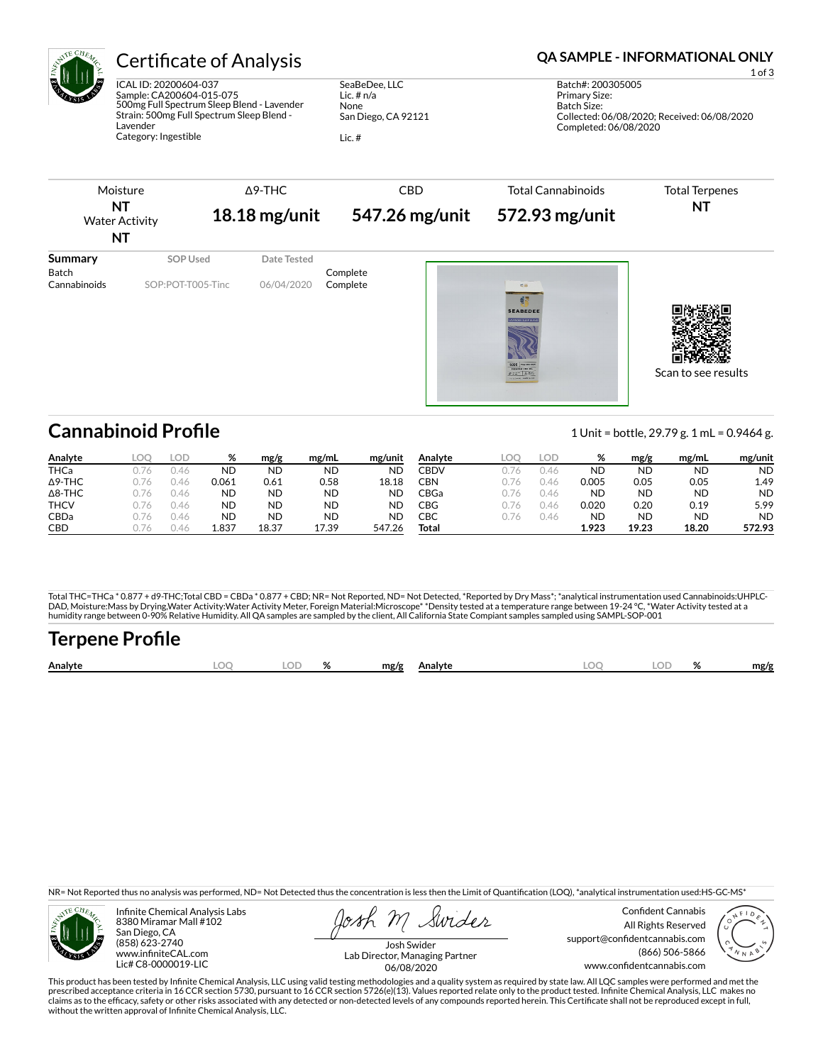

ICAL ID: 20200604-037 Sample: CA200604-015-075 500mg Full Spectrum Sleep Blend - Lavender Strain: 500mg Full Spectrum Sleep Blend - Lavender Category: Ingestible

SeaBeDee, LLC Lic. # n/a None San Diego, CA 92121

Lic. #

## Certificate of Analysis **Certificate of Analysis QA SAMPLE - INFORMATIONAL ONLY**



# **Cannabinoid Profile** 1 Unit = bottle, 29.79 g. 1 mL = 0.9464 g.

**Analyte LOQ LOD % mg/g mg/mL mg/unit** THCa 0.76 0.46 ND ND ND ND Δ9-THC 0.76 0.46 0.061 0.61 0.58 18.18 Δ8-THC 0.76 0.46 ND ND ND ND THCV 0.76 0.46 ND ND ND ND CBDa 0.76 0.46 ND ND ND ND CBD 0.76 0.46 **1.837 18.37 17.39 547.26 Analyte LOQ LOD % mg/g mg/mL mg/unit** CBDV 0.76 0.46 ND ND ND ND CBN 0.76 0.46 0.005 0.05 0.05 1.49 CBGa 0.76 0.46 ND ND ND ND CBG 0.76 0.46 0.020 0.20 0.19 5.99 CBC 0.76 0.46 ND ND ND ND **Total 1.923 19.23 18.20 572.93**

Total THC=THCa \* 0.877 + d9-THC;Total CBD = CBDa \* 0.877 + CBD; NR= Not Reported, ND= Not Detected, \*Reported by Dry Mass\*; \*analytical instrumentation used Cannabinoids:UHPLC-DAD, Moisture:Mass by Drying,Water Activity:Water Activity Meter, Foreign Material:Microscope\* \*Density tested at a temperature range between 19-24 °C, \*Water Activity tested at a<br>humidity range between 0-90% Relative Humi

# Terpene Profile

| Analyte | nr | $\cap$ | ົ | mg/g | Analyte | ገር | 01<br>,,, | mg/f |
|---------|----|--------|---|------|---------|----|-----------|------|
|         |    |        |   |      |         |    |           |      |

NR= Not Reported thus no analysis was performed, ND= Not Detected thus the concentration is less then the Limit of Quantification (LOQ), \*analytical instrumentation used:HS-GC-MS\*



Infinite Chemical Analysis Labs 8380 Miramar Mall #102 San Diego, CA (858) 623-2740 www.infiniteCAL.com Lic# C8-0000019-LIC

Swider

Confident Cannabis All Rights Reserved support@confidentcannabis.com (866) 506-5866 www.condentcannabis.com



Josh Swider Lab Director, Managing Partner 06/08/2020

This product has been tested by Infinite Chemical Analysis, LLC using valid testing methodologies and a quality system as required by state law. All LQC samples were performed and met the prescribed acceptance criteria in 16 CCR section 5730, pursuant to 16 CCR section 5726(e)(13). Values reported relate only to the product tested. Infinite Chemical Analysis, LLC makes no<br>claims as to the efficacy, safety o without the written approval of Infinite Chemical Analysis, LLC.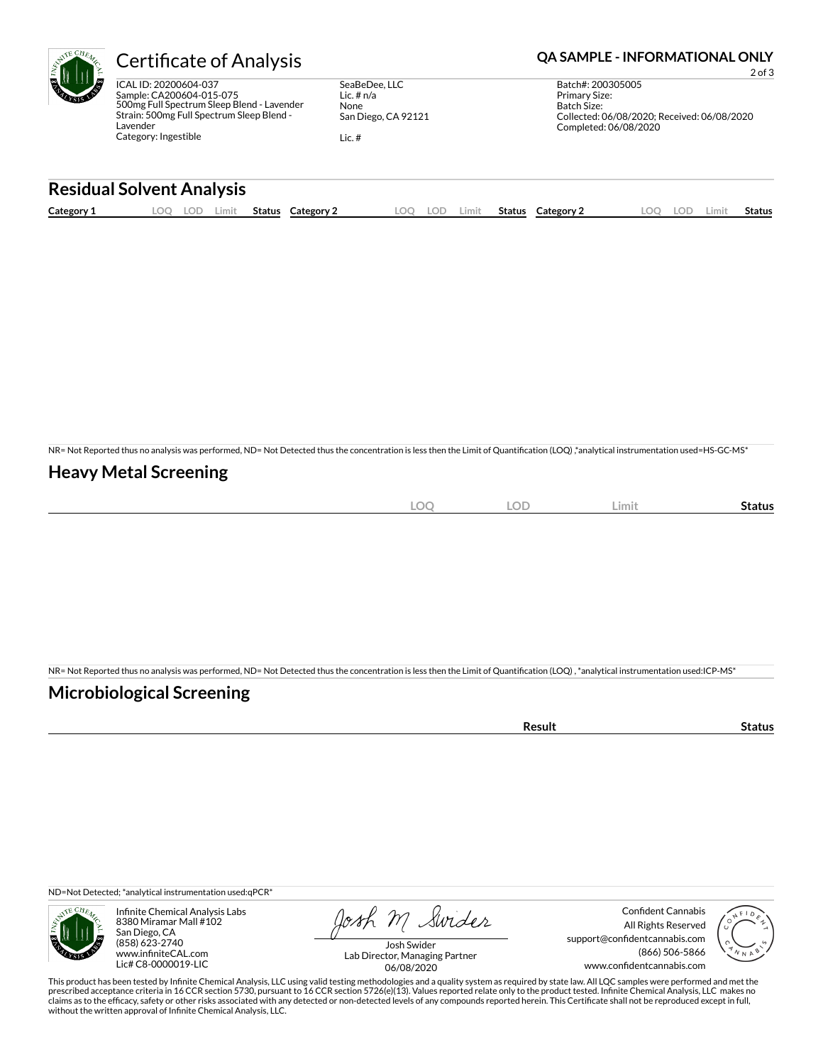ICAL ID: 20200604-037 Sample: CA200604-015-075 500mg Full Spectrum Sleep Blend - Lavender Strain: 500mg Full Spectrum Sleep Blend - Lavender Category: Ingestible

SeaBeDee, LLC Lic. # n/a None San Diego, CA 92121

Lic. #

### Certificate of Analysis **Certificate of Analysis QA SAMPLE - INFORMATIONAL ONLY**

2 of 3 Batch#: 200305005 Primary Size: Batch Size: Collected: 06/08/2020; Received: 06/08/2020 Completed: 06/08/2020

### **Residual Solvent Analysis**

| Category 1 | OC | -91 | Limit | Status | Category | ഥറ | LOP. | .imit | Status | Category 2 | OГ | ∟imi' | Status |
|------------|----|-----|-------|--------|----------|----|------|-------|--------|------------|----|-------|--------|
|            |    |     |       |        |          |    |      |       |        |            |    |       |        |

NR= Not Reported thus no analysis was performed, ND= Not Detected thus the concentration is less then the Limit of Quantification (LOQ),\*analytical instrumentation used=HS-GC-MS\*

#### **Heavy Metal Screening**

| $\bigcap$<br>$-$<br>$\sim$ | OF<br>∽ | Limit | status |
|----------------------------|---------|-------|--------|
|                            |         |       |        |

NR= Not Reported thus no analysis was performed, ND= Not Detected thus the concentration is less then the Limit of Quantification (LOQ), \*analytical instrumentation used:ICP-MS\*

#### **Microbiological Screening**

| oun<br>.<br>. |  |
|---------------|--|
|               |  |

ND=Not Detected; \*analytical instrumentation used:qPCR\*



Infinite Chemical Analysis Labs 8380 Miramar Mall #102 San Diego, CA (858) 623-2740 www.infiniteCAL.com Lic# C8-0000019-LIC

Josh M Swider

Confident Cannabis All Rights Reserved support@confidentcannabis.com (866) 506-5866 www.confidentcannabis.com



Josh Swider Lab Director, Managing Partner 06/08/2020

This product has been tested by Infinite Chemical Analysis, LLC using valid testing methodologies and a quality system as required by state law. All LQC samples were performed and met the prescribed acceptance criteria in 16 CCR section 5730, pursuant to 16 CCR section 5726(e)(13). Values reported relate only to the product tested. Infinite Chemical Analysis, LLC makes no<br>claims as to the efficacy, safety o without the written approval of Infinite Chemical Analysis, LLC.